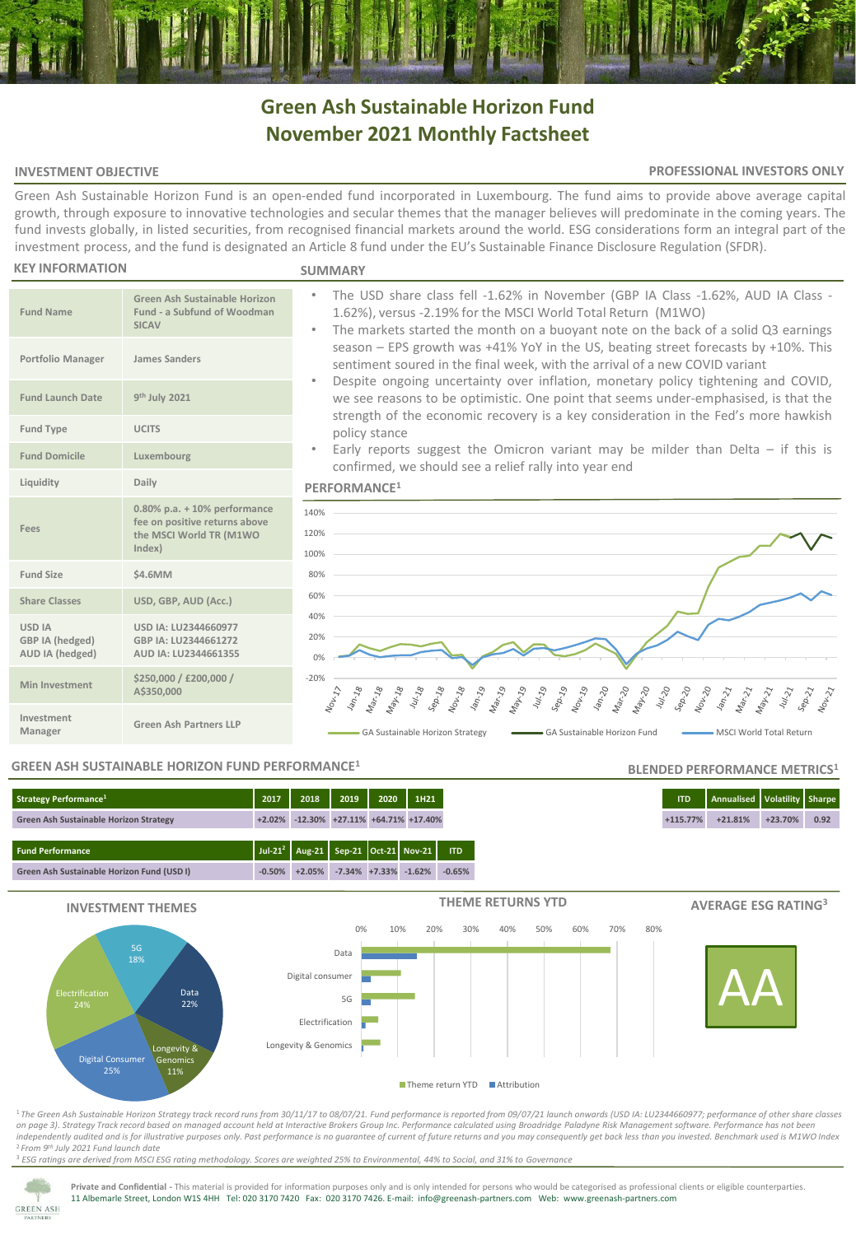# **Green Ash Sustainable Horizon Fund November 2021 Monthly Factsheet**

### **INVESTMENT OBJECTIVE**

### **PROFESSIONAL INVESTORS ONLY**

Green Ash Sustainable Horizon Fund is an open-ended fund incorporated in Luxembourg. The fund aims to provide above average capital growth, through exposure to innovative technologies and secular themes that the manager believes will predominate in the coming years. The fund invests globally, in listed securities, from recognised financial markets around the world. ESG considerations form an integral part of the investment process, and the fund is designated an Article 8 fund under the EU's Sustainable Finance Disclosure Regulation (SFDR).

#### **KEY INFORMATION**

### **SUMMARY**

| <b>Fund Name</b>                                    | Green Ash Sustainable Horizon<br>Fund - a Subfund of Woodman<br><b>SICAV</b>                            |
|-----------------------------------------------------|---------------------------------------------------------------------------------------------------------|
| Portfolio Manager                                   | <b>James Sanders</b>                                                                                    |
| <b>Fund Launch Date</b>                             | 9 <sup>th</sup> July 2021                                                                               |
| <b>Fund Type</b>                                    | <b>UCITS</b>                                                                                            |
| <b>Fund Domicile</b>                                | Luxembourg                                                                                              |
| Liquidity                                           | Daily                                                                                                   |
| Fees                                                | $0.80\%$ p.a. $+10\%$ performance<br>fee on positive returns above<br>the MSCI World TR (M1WO<br>Index) |
| Fund Size                                           | \$4.6MM                                                                                                 |
| <b>Share Classes</b>                                | USD, GBP, AUD (Acc.)                                                                                    |
| <b>USD IA</b><br>GBP IA (hedged)<br>AUD IA (hedged) | USD IA: LU2344660977<br>GBP IA: LU2344661272<br>AUD IA: LU2344661355                                    |
| <b>Min Investment</b>                               | \$250,000 / £200,000 /<br>A\$350,000                                                                    |
| Investment<br>Manager                               | Green Ash Partners LLP                                                                                  |

- The USD share class fell -1.62% in November (GBP IA Class -1.62%, AUD IA Class 1.62%), versus -2.19% for the MSCI World Total Return (M1WO) The markets started the month on a buoyant note on the back of a solid Q3 earnings
- season EPS growth was +41% YoY in the US, beating street forecasts by +10%. This sentiment soured in the final week, with the arrival of a new COVID variant
- Despite ongoing uncertainty over inflation, monetary policy tightening and COVID, we see reasons to be optimistic. One point that seems under-emphasised, is that the strength of the economic recovery is a key consideration in the Fed's more hawkish policy stance
- Early reports suggest the Omicron variant may be milder than Delta  $-$  if this is confirmed, we should see a relief rally into year end

### **PERFORMANCE<sup>1</sup>**



### **GREEN ASH SUSTAINABLE HORIZON FUND PERFORMANCE<sup>1</sup>**

### **Fund Performance Jul-21<sup>2</sup> Aug-21 Sep-21 Oct-21 Nov-21 ITD Strategy Performance<sup>1</sup> 2017 2018 2019 2020 1H21 ITD Annualised Volatility Sharpe Green Ash Sustainable Horizon Strategy +2.02% -12.30% +27.11% +64.71% +17.40% +115.77% +21.81% +23.70% 0.92**



<sup>1</sup>*The Green Ash Sustainable Horizon Strategy track record runs from 30/11/17 to 08/07/21. Fund performance is reported from 09/07/21 launch onwards (USD IA: LU2344660977; performance of other share classes on page 3)*. *Strategy Track record based on managed account held at Interactive Brokers Group Inc. Performance calculated using Broadridge Paladyne Risk Management software. Performance has not been independently audited and is for illustrative purposes only. Past performance is no guarantee of current of future returns and you may consequently get back less than you invested. Benchmark used is M1WO Index* <sup>2</sup>*From 9th July 2021 Fund launch date*

<sup>3</sup> *ESG ratings are derived from MSCI ESG rating methodology. Scores are weighted 25% to Environmental, 44% to Social, and 31% to Governance*



**Private and Confidential -** This material is provided for information purposes only and is only intended for persons who would be categorised as professional clients or eligible counterparties. 11 Albemarle Street, London W1S 4HH Tel: 020 3170 7420 Fax: 020 3170 7426. E-mail: info@greenash-partners.com Web: www.greenash-partners.com

## **BLENDED PERFORMANCE METRICS<sup>1</sup>**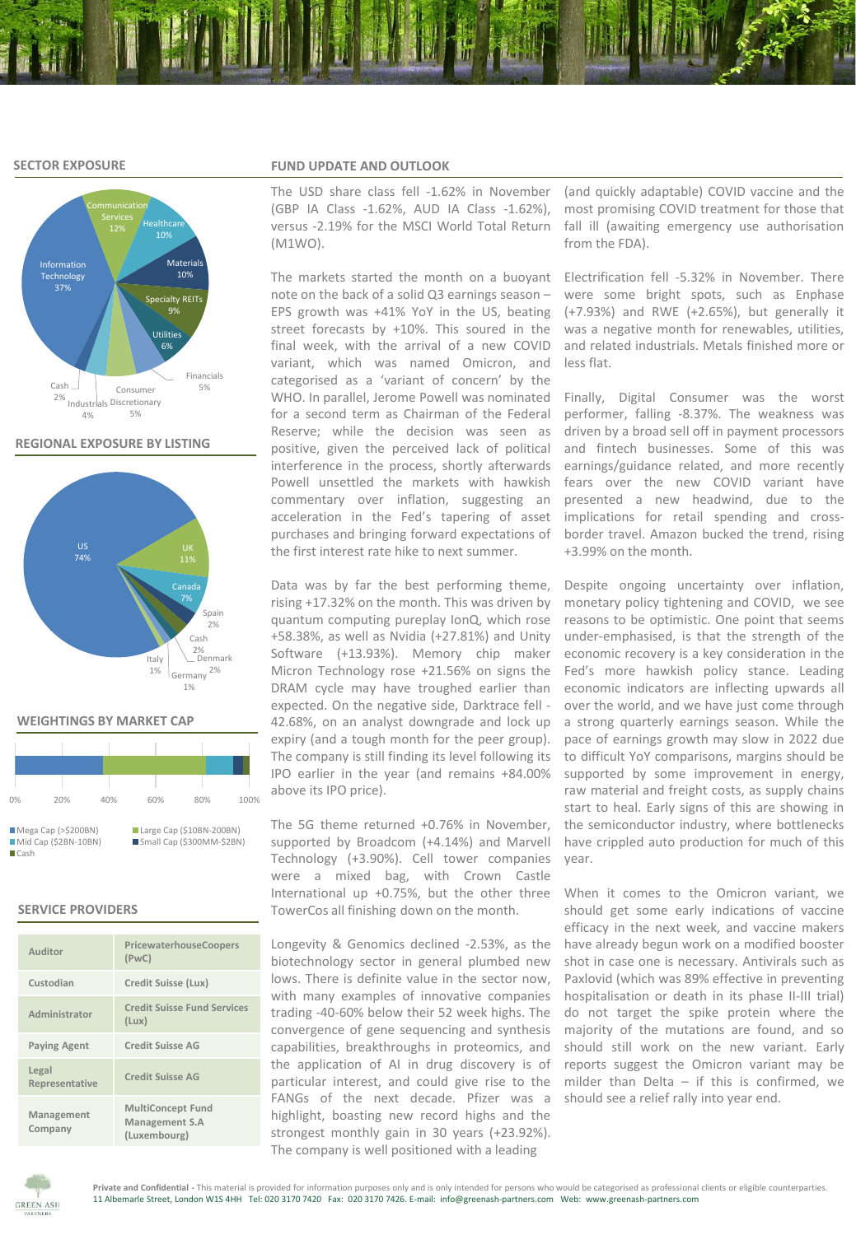### **SECTOR EXPOSURE**



**REGIONAL EXPOSURE BY LISTING**



### **WEIGHTINGS BY MARKET CAP**

| 0%                                                    | 20% | 40% | 60%                                                   | 80% | 100% |
|-------------------------------------------------------|-----|-----|-------------------------------------------------------|-----|------|
| Mega Cap (> \$200BN)<br>$Mid Cap (52BN-10BN)$<br>Cash |     |     | Large Cap (\$10BN-200BN)<br>Small Cap (\$300MM-\$2BN) |     |      |

### **SERVICE PROVIDERS**

| Auditor                 | PricewaterhouseCoopers<br>(PWC)                            |
|-------------------------|------------------------------------------------------------|
| Custodian               | Credit Suisse (Lux)                                        |
| Administrator           | <b>Credit Suisse Fund Services</b><br>(Lux)                |
| <b>Paying Agent</b>     | <b>Credit Suisse AG</b>                                    |
| Legal<br>Representative | <b>Credit Suisse AG</b>                                    |
| Management<br>Company   | <b>MultiConcept Fund</b><br>Management S.A<br>(Luxembourg) |

### **FUND UPDATE AND OUTLOOK**

The USD share class fell -1.62% in November (GBP IA Class -1.62%, AUD IA Class -1.62%), versus -2.19% for the MSCI World Total Return (M1WO).

note on the back of a solid Q3 earnings season – EPS growth was +41% YoY in the US, beating street forecasts by +10%. This soured in the final week, with the arrival of a new COVID variant, which was named Omicron, and categorised as a 'variant of concern' by the WHO. In parallel, Jerome Powell was nominated for a second term as Chairman of the Federal Reserve; while the decision was seen as positive, given the perceived lack of political interference in the process, shortly afterwards Powell unsettled the markets with hawkish commentary over inflation, suggesting an acceleration in the Fed's tapering of asset purchases and bringing forward expectations of the first interest rate hike to next summer.

Data was by far the best performing theme, rising +17.32% on the month. This was driven by quantum computing pureplay IonQ, which rose +58.38%, as well as Nvidia (+27.81%) and Unity Software (+13.93%). Memory chip maker Micron Technology rose +21.56% on signs the DRAM cycle may have troughed earlier than expected. On the negative side, Darktrace fell - 42.68%, on an analyst downgrade and lock up expiry (and a tough month for the peer group). The company is still finding its level following its IPO earlier in the year (and remains +84.00% above its IPO price).

The 5G theme returned +0.76% in November, supported by Broadcom (+4.14%) and Marvell Technology (+3.90%). Cell tower companies were a mixed bag, with Crown Castle International up +0.75%, but the other three TowerCos all finishing down on the month.

Longevity & Genomics declined -2.53%, as the biotechnology sector in general plumbed new lows. There is definite value in the sector now, with many examples of innovative companies trading -40-60% below their 52 week highs. The convergence of gene sequencing and synthesis capabilities, breakthroughs in proteomics, and the application of AI in drug discovery is of particular interest, and could give rise to the FANGs of the next decade. Pfizer was a highlight, boasting new record highs and the strongest monthly gain in 30 years (+23.92%). The company is well positioned with a leading

(and quickly adaptable) COVID vaccine and the most promising COVID treatment for those that fall ill (awaiting emergency use authorisation from the FDA).

The markets started the month on a buoyant Electrification fell -5.32% in November. There were some bright spots, such as Enphase (+7.93%) and RWE (+2.65%), but generally it was a negative month for renewables, utilities, and related industrials. Metals finished more or less flat.

> Finally, Digital Consumer was the worst performer, falling -8.37%. The weakness was driven by a broad sell off in payment processors and fintech businesses. Some of this was earnings/guidance related, and more recently fears over the new COVID variant have presented a new headwind, due to the implications for retail spending and crossborder travel. Amazon bucked the trend, rising +3.99% on the month.

> Despite ongoing uncertainty over inflation, monetary policy tightening and COVID, we see reasons to be optimistic. One point that seems under-emphasised, is that the strength of the economic recovery is a key consideration in the Fed's more hawkish policy stance. Leading economic indicators are inflecting upwards all over the world, and we have just come through a strong quarterly earnings season. While the pace of earnings growth may slow in 2022 due to difficult YoY comparisons, margins should be supported by some improvement in energy, raw material and freight costs, as supply chains start to heal. Early signs of this are showing in the semiconductor industry, where bottlenecks have crippled auto production for much of this year.

> When it comes to the Omicron variant, we should get some early indications of vaccine efficacy in the next week, and vaccine makers have already begun work on a modified booster shot in case one is necessary. Antivirals such as Paxlovid (which was 89% effective in preventing hospitalisation or death in its phase II-III trial) do not target the spike protein where the majority of the mutations are found, and so should still work on the new variant. Early reports suggest the Omicron variant may be milder than Delta  $-$  if this is confirmed, we should see a relief rally into year end.